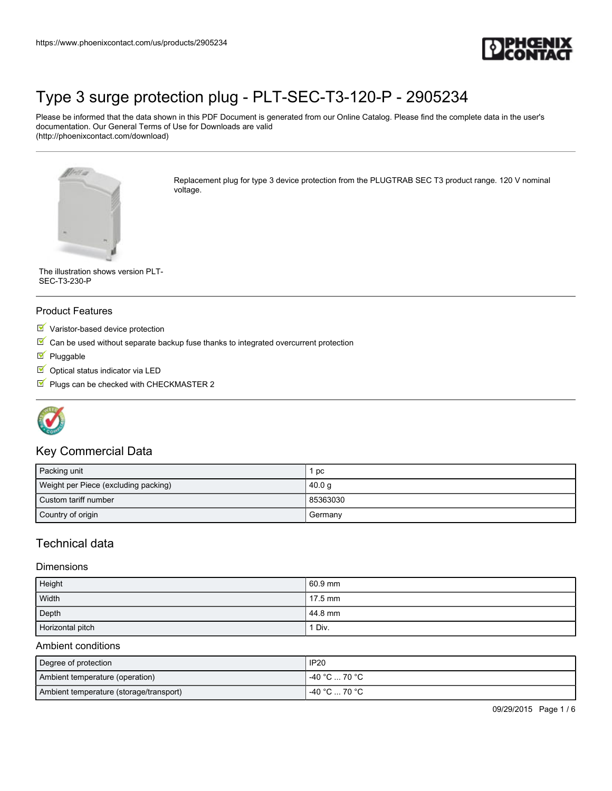

Please be informed that the data shown in this PDF Document is generated from our Online Catalog. Please find the complete data in the user's documentation. Our General Terms of Use for Downloads are valid (http://phoenixcontact.com/download)



Replacement plug for type 3 device protection from the PLUGTRAB SEC T3 product range. 120 V nominal voltage.

The illustration shows version PLT-SEC-T3-230-P

#### Product Features

- Varistor-based device protection
- $\mathbb N$  Can be used without separate backup fuse thanks to integrated overcurrent protection
- Pluggable
- $\Box$  Optical status indicator via LED
- $\blacksquare$  Plugs can be checked with CHECKMASTER 2



## Key Commercial Data

| Packing unit                         | pc       |
|--------------------------------------|----------|
| Weight per Piece (excluding packing) | 40.0 g   |
| Custom tariff number                 | 85363030 |
| Country of origin                    | Germany  |

# Technical data

#### **Dimensions**

| Height           | 60.9 mm |
|------------------|---------|
| Width            | 17.5 mm |
| Depth            | 44.8 mm |
| Horizontal pitch | ' Div.  |

#### Ambient conditions

| Degree of protection                    | <b>IP20</b>   |
|-----------------------------------------|---------------|
| Ambient temperature (operation)         | -40 °C  70 °C |
| Ambient temperature (storage/transport) | -40 °C  70 °C |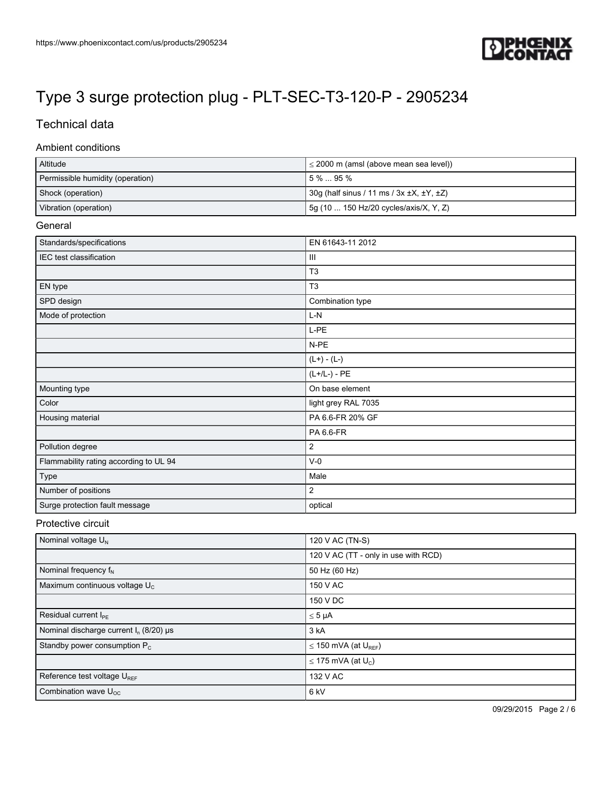

# Technical data

#### Ambient conditions

| Altitude                         | $\leq$ 2000 m (amsl (above mean sea level))             |
|----------------------------------|---------------------------------------------------------|
| Permissible humidity (operation) | $15\%95\%$                                              |
| Shock (operation)                | 30g (half sinus / 11 ms / 3x $\pm$ X, $\pm$ Y, $\pm$ Z) |
| Vibration (operation)            | 5g (10  150 Hz/20 cycles/axis/X, Y, Z)                  |

### General

| Standards/specifications               | EN 61643-11 2012    |
|----------------------------------------|---------------------|
| IEC test classification                | $\mathbf{III}$      |
|                                        | T <sub>3</sub>      |
| EN type                                | T <sub>3</sub>      |
| SPD design                             | Combination type    |
| Mode of protection                     | $L-N$               |
|                                        | L-PE                |
|                                        | N-PE                |
|                                        | $(L+) - (L-)$       |
|                                        | $(L+/L-) - PE$      |
| Mounting type                          | On base element     |
| Color                                  | light grey RAL 7035 |
| Housing material                       | PA 6.6-FR 20% GF    |
|                                        | PA 6.6-FR           |
| Pollution degree                       | $\overline{2}$      |
| Flammability rating according to UL 94 | $V-0$               |
| Type                                   | Male                |
| Number of positions                    | $\overline{2}$      |
| Surge protection fault message         | optical             |

### Protective circuit

| Nominal voltage $U_N$                          | 120 V AC (TN-S)                      |
|------------------------------------------------|--------------------------------------|
|                                                | 120 V AC (TT - only in use with RCD) |
| Nominal frequency $f_N$                        | 50 Hz (60 Hz)                        |
| Maximum continuous voltage U <sub>c</sub>      | 150 V AC                             |
|                                                | 150 V DC                             |
| Residual current I <sub>PF</sub>               | $\leq 5$ µA                          |
| Nominal discharge current $I_n$ (8/20) $\mu$ s | 3 kA                                 |
| Standby power consumption $P_c$                | $\leq$ 150 mVA (at $U_{REF}$ )       |
|                                                | $\leq$ 175 mVA (at U <sub>c</sub> )  |
| Reference test voltage UREE                    | 132 V AC                             |
| Combination wave $U_{OC}$                      | 6 <sub>kV</sub>                      |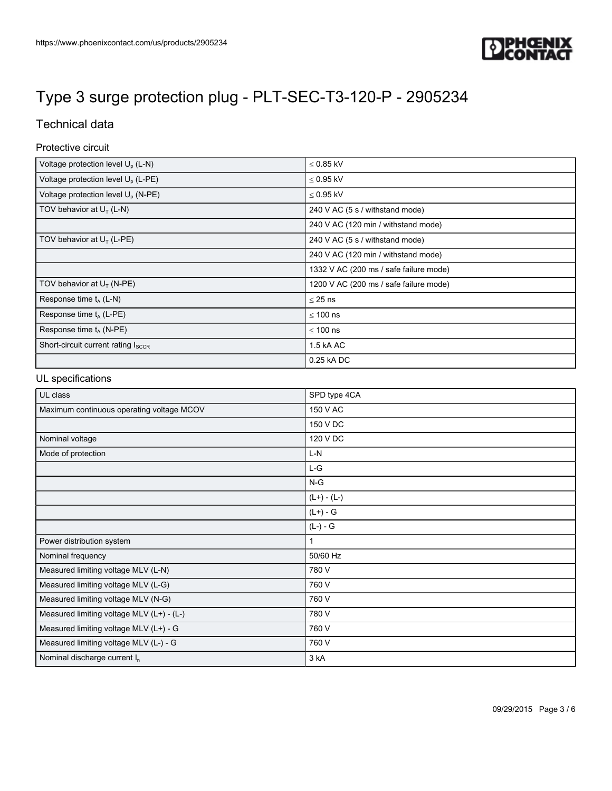

# Technical data

### Protective circuit

| Voltage protection level U <sub>p</sub> (L-N)  | $< 0.85$ kV                            |
|------------------------------------------------|----------------------------------------|
| Voltage protection level U <sub>p</sub> (L-PE) | $< 0.95$ kV                            |
| Voltage protection level $U_p$ (N-PE)          | $\leq$ 0.95 kV                         |
| TOV behavior at $U_T$ (L-N)                    | 240 V AC (5 s / withstand mode)        |
|                                                | 240 V AC (120 min / withstand mode)    |
| TOV behavior at $U_T$ (L-PE)                   | 240 V AC (5 s / withstand mode)        |
|                                                | 240 V AC (120 min / withstand mode)    |
|                                                | 1332 V AC (200 ms / safe failure mode) |
| TOV behavior at $U_T$ (N-PE)                   | 1200 V AC (200 ms / safe failure mode) |
| Response time $t_A$ (L-N)                      | $\leq$ 25 ns                           |
| Response time $t_A$ (L-PE)                     | $\leq 100$ ns                          |
| Response time $t_A$ (N-PE)                     | $< 100$ ns                             |
| Short-circuit current rating ISCCR             | 1.5 kA AC                              |
|                                                | 0.25 kA DC                             |

### UL specifications

| UL class                                  | SPD type 4CA  |
|-------------------------------------------|---------------|
| Maximum continuous operating voltage MCOV | 150 V AC      |
|                                           | 150 V DC      |
| Nominal voltage                           | 120 V DC      |
| Mode of protection                        | $L-N$         |
|                                           | L-G           |
|                                           | $N-G$         |
|                                           | $(L+) - (L-)$ |
|                                           | $(L+) - G$    |
|                                           | $(L-) - G$    |
| Power distribution system                 |               |
| Nominal frequency                         | 50/60 Hz      |
| Measured limiting voltage MLV (L-N)       | 780 V         |
| Measured limiting voltage MLV (L-G)       | 760 V         |
| Measured limiting voltage MLV (N-G)       | 760 V         |
| Measured limiting voltage MLV (L+) - (L-) | 780 V         |
| Measured limiting voltage MLV (L+) - G    | 760 V         |
| Measured limiting voltage MLV (L-) - G    | 760 V         |
| Nominal discharge current In              | 3 kA          |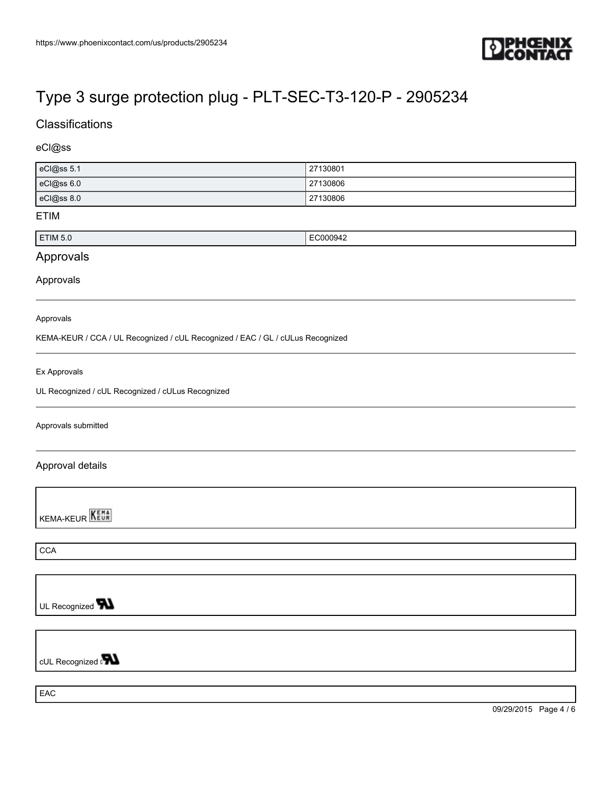

# **Classifications**

## eCl@ss

| eCl@ss 5.1 | 27130801 |
|------------|----------|
| eCl@ss 6.0 | 27130806 |
| eCl@ss 8.0 | 27130806 |

### ETIM

| <b>ETIM 5.0</b><br><sup>−</sup> C00094∠ |  |
|-----------------------------------------|--|
|                                         |  |

# Approvals

#### Approvals

#### Approvals

KEMA-KEUR / CCA / UL Recognized / cUL Recognized / EAC / GL / cULus Recognized

#### Ex Approvals

UL Recognized / cUL Recognized / cULus Recognized

#### Approvals submitted

### Approval details

**KEMA-KEUR** 

**CCA** 

UL Recognized **W** 

cUL Recognized on

EAC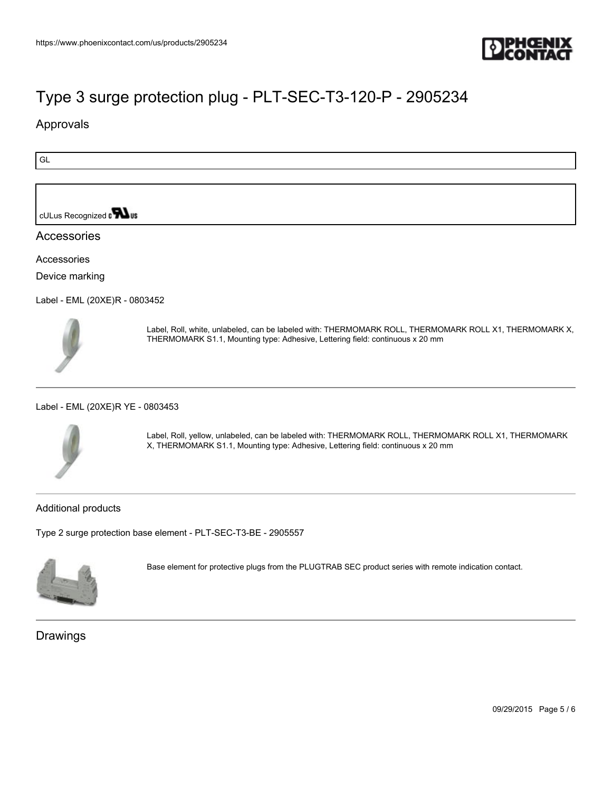

# Approvals

GL

cULus Recognized on **What** 

## Accessories

Accessories

Device marking

[Label - EML \(20XE\)R - 0803452](https://www.phoenixcontact.com/us/products/0803452)



Label, Roll, white, unlabeled, can be labeled with: THERMOMARK ROLL, THERMOMARK ROLL X1, THERMOMARK X, THERMOMARK S1.1, Mounting type: Adhesive, Lettering field: continuous x 20 mm

#### [Label - EML \(20XE\)R YE - 0803453](https://www.phoenixcontact.com/us/products/0803453)



Label, Roll, yellow, unlabeled, can be labeled with: THERMOMARK ROLL, THERMOMARK ROLL X1, THERMOMARK X, THERMOMARK S1.1, Mounting type: Adhesive, Lettering field: continuous x 20 mm

### Additional products

[Type 2 surge protection base element - PLT-SEC-T3-BE - 2905557](https://www.phoenixcontact.com/us/products/2905557)



Base element for protective plugs from the PLUGTRAB SEC product series with remote indication contact.

## Drawings